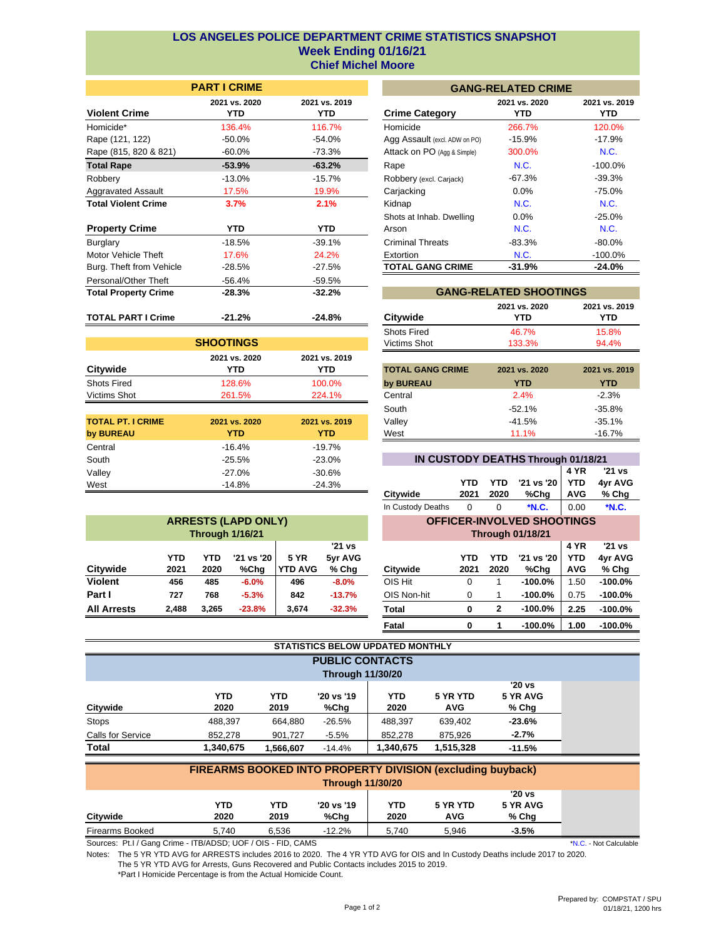## **Week Ending 01/16/21 LOS ANGELES POLICE DEPARTMENT CRIME STATISTICS SNAPSHOT Chief Michel Moore**

|                             | <b>PARILURIME</b>    | C                     |                         |  |
|-----------------------------|----------------------|-----------------------|-------------------------|--|
| <b>Violent Crime</b>        | 2021 vs. 2020<br>YTD | 2021 vs. 2019<br>YTD. | <b>Crime Category</b>   |  |
| Homicide*                   | 136.4%               | 116.7%                | Homicide                |  |
| Rape (121, 122)             | -50.0%               | -54.0%                | Agg Assault (excl. AD   |  |
| Rape (815, 820 & 821)       | $-60.0\%$            | -73.3%                | Attack on PO (Agg &     |  |
| <b>Total Rape</b>           | $-53.9%$             | $-63.2%$              | Rape                    |  |
| Robbery                     | $-13.0%$             | $-15.7\%$             | Robbery (excl. Carjad   |  |
| <b>Aggravated Assault</b>   | 17.5%                | 19.9%                 | Carjacking              |  |
| <b>Total Violent Crime</b>  | 3.7%                 | 2.1%                  | Kidnap                  |  |
|                             |                      |                       | Shots at Inhab. Dw      |  |
| <b>Property Crime</b>       | YTD.                 | YTD.                  | Arson                   |  |
| Burglary                    | $-18.5%$             | $-39.1%$              | <b>Criminal Threats</b> |  |
| Motor Vehicle Theft         | 17.6%                | 24.2%                 | Extortion               |  |
| Burg. Theft from Vehicle    | $-28.5%$             | $-27.5%$              | <b>TOTAL GANG CR</b>    |  |
| Personal/Other Theft        | $-56.4%$             | $-59.5%$              |                         |  |
| <b>Total Property Crime</b> | $-28.3%$             | $-32.2%$              | <b>GAN</b>              |  |
| <b>TOTAL PART I Crime</b>   | $-21.2%$             | $-24.8%$              | Citywide                |  |

| <b>PART I CRIME</b>         |                             |                               | <b>GANG-RELATED CRIME</b> |                       |
|-----------------------------|-----------------------------|-------------------------------|---------------------------|-----------------------|
| 2021 vs. 2020<br><b>YTD</b> | 2021 vs. 2019<br><b>YTD</b> | <b>Crime Category</b>         | 2021 vs. 2020<br>YTD.     | 2021 vs. 2019<br>YTD. |
| 136.4%                      | 116.7%                      | Homicide                      | 266.7%                    | 120.0%                |
| -50.0%                      | -54.0%                      | Agg Assault (excl. ADW on PO) | $-15.9%$                  | $-17.9%$              |
| $-60.0\%$                   | -73.3%                      | Attack on PO (Agg & Simple)   | 300.0%                    | <b>N.C.</b>           |
| $-53.9%$                    | $-63.2%$                    | Rape                          | N.C.                      | $-100.0\%$            |
| $-13.0\%$                   | $-15.7\%$                   | Robbery (excl. Carjack)       | -67.3%                    | $-39.3%$              |
| 17.5%                       | 19.9%                       | Carjacking                    | $0.0\%$                   | -75.0%                |
| 3.7%                        | 2.1%                        | Kidnap                        | N.C.                      | <b>N.C.</b>           |
|                             |                             | Shots at Inhab. Dwelling      | $0.0\%$                   | $-25.0%$              |
| <b>YTD</b>                  | <b>YTD</b>                  | Arson                         | N.C.                      | N.C.                  |
| $-18.5%$                    | $-39.1%$                    | <b>Criminal Threats</b>       | $-83.3%$                  | $-80.0\%$             |
| 17.6%                       | 24.2%                       | Extortion                     | <b>N.C.</b>               | $-100.0\%$            |
| $-28.5%$                    | $-27.5%$                    | <b>TOTAL GANG CRIME</b>       | $-31.9%$                  | $-24.0%$              |

| <b>SHOOTINGS</b>   |               |               |  |  |  |  |  |  |
|--------------------|---------------|---------------|--|--|--|--|--|--|
|                    | 2021 vs. 2020 | 2021 vs. 2019 |  |  |  |  |  |  |
| Citywide           | YTD           | YTD           |  |  |  |  |  |  |
| <b>Shots Fired</b> | 128.6%        | 100.0%        |  |  |  |  |  |  |
| Victims Shot       | 261.5%        | 224.1%        |  |  |  |  |  |  |

| <b>TOTAL PT. I CRIME</b><br>by BUREAU | 2021 vs. 2020<br>YTD | 2021 vs. 2019<br><b>YTD</b> |
|---------------------------------------|----------------------|-----------------------------|
| Central                               | $-16.4%$             | $-19.7%$                    |
| South                                 | $-25.5%$             | $-23.0%$                    |
| Valley                                | $-27.0%$             | $-30.6%$                    |
| West                                  | $-14.8%$             | $-24.3%$                    |

| <b>ARRESTS (LAPD ONLY)</b><br><b>Through 1/16/21</b>                                                                        |       |       |          |       |          |  |  |  |  |  |
|-----------------------------------------------------------------------------------------------------------------------------|-------|-------|----------|-------|----------|--|--|--|--|--|
| '21 vs<br>'21 vs '20<br>5yr AVG<br>YTD<br><b>5 YR</b><br>YTD<br><b>YTD AVG</b><br>Citywide<br>% Chg<br>%Chg<br>2021<br>2020 |       |       |          |       |          |  |  |  |  |  |
| <b>Violent</b>                                                                                                              | 456   | 485   | $-6.0%$  | 496   | $-8.0%$  |  |  |  |  |  |
| Part I                                                                                                                      | 727   | 768   | $-5.3%$  | 842   | $-13.7%$ |  |  |  |  |  |
| <b>All Arrests</b>                                                                                                          | 2,488 | 3.265 | $-23.8%$ | 3,674 | $-32.3%$ |  |  |  |  |  |

| <b>GANG-RELATED SHOOTINGS</b> |                      |                      |  |  |  |  |  |  |
|-------------------------------|----------------------|----------------------|--|--|--|--|--|--|
| Citywide                      | 2021 vs. 2020<br>YTD | 2021 vs. 2019<br>YTD |  |  |  |  |  |  |
| <b>Shots Fired</b>            | 46.7%                | 15.8%                |  |  |  |  |  |  |
| Victims Shot                  | 133.3%               | 94.4%                |  |  |  |  |  |  |

| YTD         | YTD           | <b>TOTAL GANG CRIME</b> | 2021 vs. 2020 | 2021 vs. 2019 |
|-------------|---------------|-------------------------|---------------|---------------|
| 128.6%      | 100.0%        | by BUREAU               | YTD           | YTD           |
| 261.5%      | 224.1%        | Central                 | 2.4%          | $-2.3%$       |
|             |               | South                   | $-52.1%$      | $-35.8\%$     |
| 21 vs. 2020 | 2021 vs. 2019 | Valley                  | -41.5%        | $-35.1%$      |
| YTD         | YTD           | West                    | 11.1%         | $-16.7%$      |

| IN CUSTODY DEATHS Through 01/18/21 |      |      |                    |            |            |  |  |  |  |  |
|------------------------------------|------|------|--------------------|------------|------------|--|--|--|--|--|
|                                    |      |      |                    |            | 4 YR 21 vs |  |  |  |  |  |
|                                    | YTD. |      | YTD '21 vs '20 YTD |            | 4yr AVG    |  |  |  |  |  |
| Citywide                           | 2021 | 2020 | %Chg               | <b>AVG</b> | % Chg      |  |  |  |  |  |
| In Custody Deaths                  |      |      | *N.C.              | 0.00       | *N.C.      |  |  |  |  |  |

## **OFFICER-INVOLVED SHOOTINGS**

|                           |              | <b>Through 01/18/21</b> |             |                    |                                  |                            |  |  |  |  |  |
|---------------------------|--------------|-------------------------|-------------|--------------------|----------------------------------|----------------------------|--|--|--|--|--|
| '21 vs<br>vr AVG<br>% Chg | Citywide     | YTD<br>2021             | YTD<br>2020 | '21 vs '20<br>%Chg | 4 YR<br><b>YTD</b><br><b>AVG</b> | '21 vs<br>4yr AVG<br>% Chg |  |  |  |  |  |
| $-8.0%$                   | OIS Hit      | 0                       |             | $-100.0%$          | 1.50                             | $-100.0%$                  |  |  |  |  |  |
| $-13.7%$                  | OIS Non-hit  | $\Omega$                | 1           | $-100.0%$          | 0.75                             | $-100.0%$                  |  |  |  |  |  |
| $-32.3%$                  | <b>Total</b> | O                       | 2           | $-100.0%$          | 2.25                             | $-100.0%$                  |  |  |  |  |  |
|                           | Fatal        | ŋ                       | 1           | $-100.0%$          | 1.00                             | $-100.0%$                  |  |  |  |  |  |

| STATISTICS BELOW UPDATED MONTHLY |            |            |                         |            |            |          |  |  |  |
|----------------------------------|------------|------------|-------------------------|------------|------------|----------|--|--|--|
| <b>PUBLIC CONTACTS</b>           |            |            |                         |            |            |          |  |  |  |
|                                  |            |            | <b>Through 11/30/20</b> |            |            |          |  |  |  |
|                                  |            |            |                         |            |            | $'20$ vs |  |  |  |
|                                  | <b>YTD</b> | <b>YTD</b> | '20 vs '19              | <b>YTD</b> | 5 YR YTD   | 5 YR AVG |  |  |  |
| Citywide                         | 2020       | 2019       | %Chg                    | 2020       | <b>AVG</b> | $%$ Chg  |  |  |  |
| <b>Stops</b>                     | 488,397    | 664,880    | $-26.5%$                | 488,397    | 639,402    | $-23.6%$ |  |  |  |
| Calls for Service                | 852,278    | 901,727    | $-5.5%$                 | 852.278    | 875,926    | $-2.7%$  |  |  |  |
| <b>Total</b>                     | 1,340,675  | 1,566,607  | $-14.4%$                | 1,340,675  | 1,515,328  | $-11.5%$ |  |  |  |

m.

| FIREARMS BOOKED INTO PROPERTY DIVISION (excluding buyback) |            |       |            |            |            |          |  |  |  |
|------------------------------------------------------------|------------|-------|------------|------------|------------|----------|--|--|--|
| <b>Through 11/30/20</b>                                    |            |       |            |            |            |          |  |  |  |
|                                                            |            |       |            |            |            | '20 vs   |  |  |  |
|                                                            | <b>YTD</b> | YTD   | '20 vs '19 | <b>YTD</b> | 5 YR YTD   | 5 YR AVG |  |  |  |
| Citvwide                                                   | 2020       | 2019  | %Chq       | 2020       | <b>AVG</b> | % Chg    |  |  |  |
| Firearms Booked                                            | 5.740      | 6.536 | $-12.2%$   | 5.740      | 5.946      | $-3.5%$  |  |  |  |

Sources: Pt.I / Gang Crime - ITB/ADSD; UOF / OIS - FID, CAMS

Notes: The 5 YR YTD AVG for ARRESTS includes 2016 to 2020. The 4 YR YTD AVG for OIS and In Custody Deaths include 2017 to 2020. The 5 YR YTD AVG for Arrests, Guns Recovered and Public Contacts includes 2015 to 2019.

\*Part I Homicide Percentage is from the Actual Homicide Count.

\*N.C. - Not Calculable